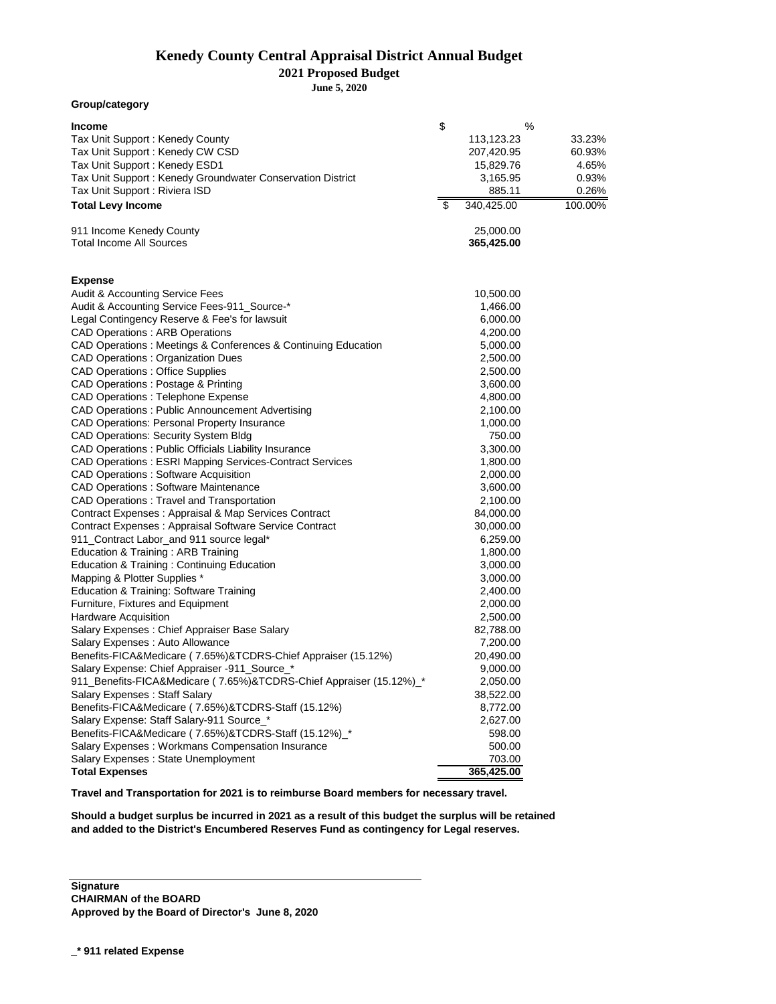## **Kenedy County Central Appraisal District Annual Budget Kenedy County Central Appraisal District Annual Budget**

**2021 Proposed Budget Levy Calculations for 2021 Budget**

**June 5, 2020 June 5, 2020**

| Group/category                                                      |                          |            |         |
|---------------------------------------------------------------------|--------------------------|------------|---------|
| <b>Income</b>                                                       | \$                       | %          |         |
| Tax Unit Support: Kenedy County                                     |                          | 113,123.23 | 33.23%  |
| Tax Unit Support: Kenedy CW CSD                                     |                          | 207,420.95 | 60.93%  |
| Tax Unit Support: Kenedy ESD1                                       |                          | 15,829.76  | 4.65%   |
| Tax Unit Support: Kenedy Groundwater Conservation District          |                          | 3,165.95   | 0.93%   |
| Tax Unit Support: Riviera ISD                                       |                          | 885.11     | 0.26%   |
| <b>Total Levy Income</b>                                            | $\overline{\mathcal{E}}$ | 340,425.00 | 100.00% |
| 911 Income Kenedy County                                            |                          | 25,000.00  |         |
| <b>Total Income All Sources</b>                                     |                          | 365,425.00 |         |
|                                                                     |                          |            |         |
| <b>Expense</b><br>Audit & Accounting Service Fees                   |                          | 10,500.00  |         |
| Audit & Accounting Service Fees-911_Source-*                        |                          | 1,466.00   |         |
| Legal Contingency Reserve & Fee's for lawsuit                       |                          | 6,000.00   |         |
| <b>CAD Operations: ARB Operations</b>                               |                          | 4,200.00   |         |
| CAD Operations: Meetings & Conferences & Continuing Education       |                          | 5,000.00   |         |
| <b>CAD Operations: Organization Dues</b>                            |                          | 2,500.00   |         |
| <b>CAD Operations : Office Supplies</b>                             |                          | 2,500.00   |         |
| CAD Operations : Postage & Printing                                 |                          | 3,600.00   |         |
| <b>CAD Operations : Telephone Expense</b>                           |                          | 4,800.00   |         |
| CAD Operations: Public Announcement Advertising                     |                          | 2,100.00   |         |
| <b>CAD Operations: Personal Property Insurance</b>                  |                          | 1,000.00   |         |
| <b>CAD Operations: Security System Bldg</b>                         |                          | 750.00     |         |
| CAD Operations : Public Officials Liability Insurance               |                          | 3,300.00   |         |
| CAD Operations: ESRI Mapping Services-Contract Services             |                          | 1,800.00   |         |
| <b>CAD Operations: Software Acquisition</b>                         |                          | 2,000.00   |         |
| <b>CAD Operations : Software Maintenance</b>                        |                          | 3,600.00   |         |
| <b>CAD Operations: Travel and Transportation</b>                    |                          | 2,100.00   |         |
| Contract Expenses : Appraisal & Map Services Contract               |                          | 84,000.00  |         |
| Contract Expenses : Appraisal Software Service Contract             |                          | 30,000.00  |         |
| 911_Contract Labor_and 911 source legal*                            |                          | 6,259.00   |         |
| Education & Training: ARB Training                                  |                          | 1,800.00   |         |
| Education & Training : Continuing Education                         |                          | 3,000.00   |         |
| Mapping & Plotter Supplies *                                        |                          | 3,000.00   |         |
| Education & Training: Software Training                             |                          | 2,400.00   |         |
| Furniture, Fixtures and Equipment                                   |                          | 2,000.00   |         |
| <b>Hardware Acquisition</b>                                         |                          | 2,500.00   |         |
| Salary Expenses : Chief Appraiser Base Salary                       |                          | 82,788.00  |         |
| Salary Expenses : Auto Allowance                                    |                          | 7,200.00   |         |
| Benefits-FICA&Medicare (7.65%)&TCDRS-Chief Appraiser (15.12%)       |                          | 20,490.00  |         |
| Salary Expense: Chief Appraiser -911_Source_'                       |                          | 9,000.00   |         |
| 911_Benefits-FICA&Medicare (7.65%)&TCDRS-Chief Appraiser (15.12%)_* |                          | 2,050.00   |         |
| <b>Salary Expenses: Staff Salary</b>                                |                          | 38,522.00  |         |
| Benefits-FICA&Medicare (7.65%)&TCDRS-Staff (15.12%)                 |                          | 8,772.00   |         |
| Salary Expense: Staff Salary-911 Source_*                           |                          | 2,627.00   |         |
| Benefits-FICA&Medicare (7.65%)&TCDRS-Staff (15.12%)_*               |                          | 598.00     |         |
| Salary Expenses: Workmans Compensation Insurance                    |                          | 500.00     |         |
| Salary Expenses: State Unemployment                                 |                          | 703.00     |         |
| <b>Total Expenses</b>                                               |                          | 365,425.00 |         |

**Travel and Transportation for 2021 is to reimburse Board members for necessary travel.**

**Should a budget surplus be incurred in 2021 as a result of this budget the surplus will be retained and added to the District's Encumbered Reserves Fund as contingency for Legal reserves.** 

**Signature CHAIRMAN of the BOARD Approved by the Board of Director's June 8, 2020**